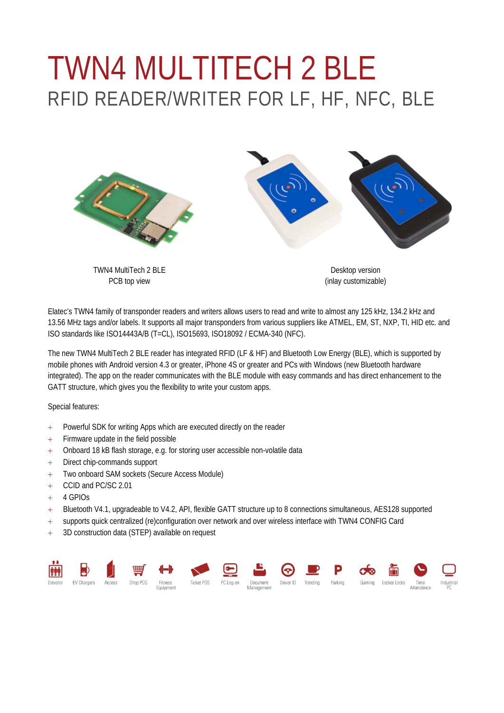## TWN4 MULTITECH 2 BLE RFID READER/WRITER FOR LF, HF, NFC, BLE



TWN4 MultiTech 2 BLE PCB top view

Desktop version (inlay customizable)

Elatec's TWN4 family of transponder readers and writers allows users to read and write to almost any 125 kHz, 134.2 kHz and 13.56 MHz tags and/or labels. It supports all major transponders from various suppliers like ATMEL, EM, ST, NXP, TI, HID etc. and ISO standards like ISO14443A/B (T=CL), ISO15693, ISO18092 / ECMA-340 (NFC).

The new TWN4 MultiTech 2 BLE reader has integrated RFID (LF & HF) and Bluetooth Low Energy (BLE), which is supported by mobile phones with Android version 4.3 or greater, iPhone 4S or greater and PCs with Windows (new Bluetooth hardware integrated). The app on the reader communicates with the BLE module with easy commands and has direct enhancement to the GATT structure, which gives you the flexibility to write your custom apps.

Special features:

- + Powerful SDK for writing Apps which are executed directly on the reader
- + Firmware update in the field possible
- + Onboard 18 kB flash storage, e.g. for storing user accessible non-volatile data
- + Direct chip-commands support
- + Two onboard SAM sockets (Secure Access Module)
- + CCID and PC/SC 2.01
- $+ 4$  GPIOs
- + Bluetooth V4.1, upgradeable to V4.2, API, flexible GATT structure up to 8 connections simultaneous, AES128 supported
- + supports quick centralized (re)configuration over network and over wireless interface with TWN4 CONFIG Card
- + 3D construction data (STEP) available on request

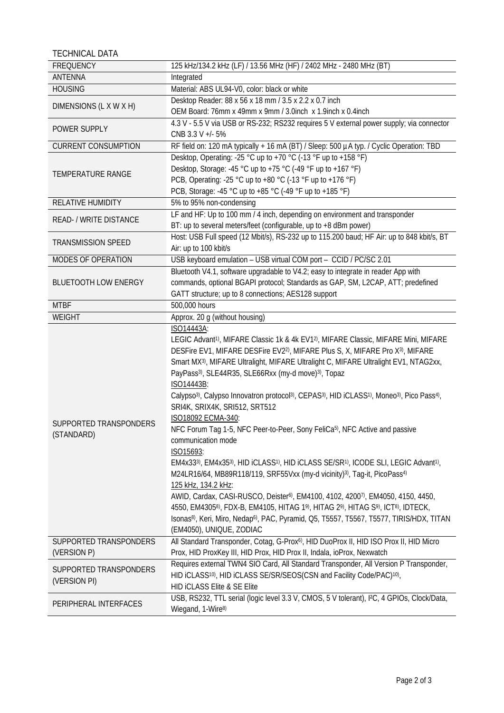TECHNICAL DATA

| <b>FREQUENCY</b>                       | 125 kHz/134.2 kHz (LF) / 13.56 MHz (HF) / 2402 MHz - 2480 MHz (BT)                                                                                                                                                                                                                                                                                                                                                                                                                                                                                                                                                                                                                                                                                                                                                                                                                                                                                                                                                                                                                                                                                                                                                                                                                                                                              |  |  |
|----------------------------------------|-------------------------------------------------------------------------------------------------------------------------------------------------------------------------------------------------------------------------------------------------------------------------------------------------------------------------------------------------------------------------------------------------------------------------------------------------------------------------------------------------------------------------------------------------------------------------------------------------------------------------------------------------------------------------------------------------------------------------------------------------------------------------------------------------------------------------------------------------------------------------------------------------------------------------------------------------------------------------------------------------------------------------------------------------------------------------------------------------------------------------------------------------------------------------------------------------------------------------------------------------------------------------------------------------------------------------------------------------|--|--|
| ANTENNA                                | Integrated                                                                                                                                                                                                                                                                                                                                                                                                                                                                                                                                                                                                                                                                                                                                                                                                                                                                                                                                                                                                                                                                                                                                                                                                                                                                                                                                      |  |  |
| <b>HOUSING</b>                         | Material: ABS UL94-V0, color: black or white                                                                                                                                                                                                                                                                                                                                                                                                                                                                                                                                                                                                                                                                                                                                                                                                                                                                                                                                                                                                                                                                                                                                                                                                                                                                                                    |  |  |
|                                        | Desktop Reader: 88 x 56 x 18 mm / 3.5 x 2.2 x 0.7 inch                                                                                                                                                                                                                                                                                                                                                                                                                                                                                                                                                                                                                                                                                                                                                                                                                                                                                                                                                                                                                                                                                                                                                                                                                                                                                          |  |  |
| DIMENSIONS (L X W X H)                 | OEM Board: 76mm x 49mm x 9mm / 3.0inch x 1.9inch x 0.4inch                                                                                                                                                                                                                                                                                                                                                                                                                                                                                                                                                                                                                                                                                                                                                                                                                                                                                                                                                                                                                                                                                                                                                                                                                                                                                      |  |  |
| POWER SUPPLY                           | 4.3 V - 5.5 V via USB or RS-232; RS232 requires 5 V external power supply; via connector                                                                                                                                                                                                                                                                                                                                                                                                                                                                                                                                                                                                                                                                                                                                                                                                                                                                                                                                                                                                                                                                                                                                                                                                                                                        |  |  |
|                                        | CNB 3.3 V +/- 5%                                                                                                                                                                                                                                                                                                                                                                                                                                                                                                                                                                                                                                                                                                                                                                                                                                                                                                                                                                                                                                                                                                                                                                                                                                                                                                                                |  |  |
| <b>CURRENT CONSUMPTION</b>             | RF field on: 120 mA typically + 16 mA (BT) / Sleep: 500 µA typ. / Cyclic Operation: TBD                                                                                                                                                                                                                                                                                                                                                                                                                                                                                                                                                                                                                                                                                                                                                                                                                                                                                                                                                                                                                                                                                                                                                                                                                                                         |  |  |
|                                        | Desktop, Operating: -25 °C up to +70 °C (-13 °F up to +158 °F)                                                                                                                                                                                                                                                                                                                                                                                                                                                                                                                                                                                                                                                                                                                                                                                                                                                                                                                                                                                                                                                                                                                                                                                                                                                                                  |  |  |
| <b>TEMPERATURE RANGE</b>               | Desktop, Storage: -45 °C up to +75 °C (-49 °F up to +167 °F)                                                                                                                                                                                                                                                                                                                                                                                                                                                                                                                                                                                                                                                                                                                                                                                                                                                                                                                                                                                                                                                                                                                                                                                                                                                                                    |  |  |
|                                        | PCB, Operating: -25 °C up to +80 °C (-13 °F up to +176 °F)                                                                                                                                                                                                                                                                                                                                                                                                                                                                                                                                                                                                                                                                                                                                                                                                                                                                                                                                                                                                                                                                                                                                                                                                                                                                                      |  |  |
|                                        | PCB, Storage: -45 °C up to +85 °C (-49 °F up to +185 °F)                                                                                                                                                                                                                                                                                                                                                                                                                                                                                                                                                                                                                                                                                                                                                                                                                                                                                                                                                                                                                                                                                                                                                                                                                                                                                        |  |  |
| RELATIVE HUMIDITY                      | 5% to 95% non-condensing                                                                                                                                                                                                                                                                                                                                                                                                                                                                                                                                                                                                                                                                                                                                                                                                                                                                                                                                                                                                                                                                                                                                                                                                                                                                                                                        |  |  |
|                                        | LF and HF: Up to 100 mm / 4 inch, depending on environment and transponder                                                                                                                                                                                                                                                                                                                                                                                                                                                                                                                                                                                                                                                                                                                                                                                                                                                                                                                                                                                                                                                                                                                                                                                                                                                                      |  |  |
| READ- / WRITE DISTANCE                 | BT: up to several meters/feet (configurable, up to +8 dBm power)                                                                                                                                                                                                                                                                                                                                                                                                                                                                                                                                                                                                                                                                                                                                                                                                                                                                                                                                                                                                                                                                                                                                                                                                                                                                                |  |  |
|                                        | Host: USB Full speed (12 Mbit/s), RS-232 up to 115.200 baud; HF Air: up to 848 kbit/s, BT                                                                                                                                                                                                                                                                                                                                                                                                                                                                                                                                                                                                                                                                                                                                                                                                                                                                                                                                                                                                                                                                                                                                                                                                                                                       |  |  |
| <b>TRANSMISSION SPEED</b>              | Air: up to 100 kbit/s                                                                                                                                                                                                                                                                                                                                                                                                                                                                                                                                                                                                                                                                                                                                                                                                                                                                                                                                                                                                                                                                                                                                                                                                                                                                                                                           |  |  |
| MODES OF OPERATION                     | USB keyboard emulation - USB virtual COM port - CCID / PC/SC 2.01                                                                                                                                                                                                                                                                                                                                                                                                                                                                                                                                                                                                                                                                                                                                                                                                                                                                                                                                                                                                                                                                                                                                                                                                                                                                               |  |  |
|                                        | Bluetooth V4.1, software upgradable to V4.2; easy to integrate in reader App with                                                                                                                                                                                                                                                                                                                                                                                                                                                                                                                                                                                                                                                                                                                                                                                                                                                                                                                                                                                                                                                                                                                                                                                                                                                               |  |  |
| <b>BLUETOOTH LOW ENERGY</b>            | commands, optional BGAPI protocol; Standards as GAP, SM, L2CAP, ATT; predefined                                                                                                                                                                                                                                                                                                                                                                                                                                                                                                                                                                                                                                                                                                                                                                                                                                                                                                                                                                                                                                                                                                                                                                                                                                                                 |  |  |
|                                        | GATT structure; up to 8 connections; AES128 support                                                                                                                                                                                                                                                                                                                                                                                                                                                                                                                                                                                                                                                                                                                                                                                                                                                                                                                                                                                                                                                                                                                                                                                                                                                                                             |  |  |
| <b>MTBF</b>                            | 500,000 hours                                                                                                                                                                                                                                                                                                                                                                                                                                                                                                                                                                                                                                                                                                                                                                                                                                                                                                                                                                                                                                                                                                                                                                                                                                                                                                                                   |  |  |
| <b>WEIGHT</b>                          | Approx. 20 g (without housing)                                                                                                                                                                                                                                                                                                                                                                                                                                                                                                                                                                                                                                                                                                                                                                                                                                                                                                                                                                                                                                                                                                                                                                                                                                                                                                                  |  |  |
|                                        | ISO14443A:                                                                                                                                                                                                                                                                                                                                                                                                                                                                                                                                                                                                                                                                                                                                                                                                                                                                                                                                                                                                                                                                                                                                                                                                                                                                                                                                      |  |  |
| SUPPORTED TRANSPONDERS<br>(STANDARD)   | LEGIC Advant <sup>1)</sup> , MIFARE Classic 1k & 4k EV1 <sup>2</sup> ), MIFARE Classic, MIFARE Mini, MIFARE<br>DESFire EV1, MIFARE DESFire EV2 <sup>2)</sup> , MIFARE Plus S, X, MIFARE Pro X <sup>3)</sup> , MIFARE<br>Smart MX <sup>3)</sup> , MIFARE Ultralight, MIFARE Ultralight C, MIFARE Ultralight EV1, NTAG2xx,<br>PayPass <sup>3)</sup> , SLE44R35, SLE66Rxx (my-d move) <sup>3)</sup> , Topaz<br>ISO14443B:<br>Calypso <sup>3)</sup> , Calypso Innovatron protocol <sup>3)</sup> , CEPAS <sup>3)</sup> , HID iCLASS <sup>1)</sup> , Moneo <sup>3)</sup> , Pico Pass <sup>4)</sup> ,<br>SRI4K, SRIX4K, SRI512, SRT512<br>ISO18092 ECMA-340:<br>NFC Forum Tag 1-5, NFC Peer-to-Peer, Sony FeliCa <sup>5)</sup> , NFC Active and passive<br>communication mode<br>ISO15693:<br>EM4x333), EM4x353), HID iCLASS1), HID iCLASS SE/SR1), ICODE SLI, LEGIC Advant1),<br>M24LR16/64, MB89R118/119, SRF55Vxx (my-d vicinity) <sup>3)</sup> , Tag-it, PicoPass <sup>4)</sup><br>125 kHz, 134.2 kHz:<br>AWID, Cardax, CASI-RUSCO, Deister <sup>6</sup> , EM4100, 4102, 4200 <sup>7</sup> , EM4050, 4150, 4450,<br>4550, EM43058), FDX-B, EM4105, HITAG 19), HITAG 29), HITAG S9), ICT8), IDTECK,<br>Isonas <sup>8)</sup> , Keri, Miro, Nedap <sup>6)</sup> , PAC, Pyramid, Q5, T5557, T5567, T5577, TIRIS/HDX, TITAN<br>(EM4050), UNIQUE, ZODIAC |  |  |
| SUPPORTED TRANSPONDERS                 | All Standard Transponder, Cotag, G-Prox <sup>6)</sup> , HID DuoProx II, HID ISO Prox II, HID Micro                                                                                                                                                                                                                                                                                                                                                                                                                                                                                                                                                                                                                                                                                                                                                                                                                                                                                                                                                                                                                                                                                                                                                                                                                                              |  |  |
| (VERSION P)                            | Prox, HID ProxKey III, HID Prox, HID Prox II, Indala, ioProx, Nexwatch                                                                                                                                                                                                                                                                                                                                                                                                                                                                                                                                                                                                                                                                                                                                                                                                                                                                                                                                                                                                                                                                                                                                                                                                                                                                          |  |  |
| SUPPORTED TRANSPONDERS<br>(VERSION PI) | Requires external TWN4 SIO Card, All Standard Transponder, All Version P Transponder,                                                                                                                                                                                                                                                                                                                                                                                                                                                                                                                                                                                                                                                                                                                                                                                                                                                                                                                                                                                                                                                                                                                                                                                                                                                           |  |  |
|                                        | HID iCLASS <sup>10)</sup> , HID iCLASS SE/SR/SEOS(CSN and Facility Code/PAC) <sup>10)</sup> ,                                                                                                                                                                                                                                                                                                                                                                                                                                                                                                                                                                                                                                                                                                                                                                                                                                                                                                                                                                                                                                                                                                                                                                                                                                                   |  |  |
|                                        | <b>HID ICLASS Elite &amp; SE Elite</b>                                                                                                                                                                                                                                                                                                                                                                                                                                                                                                                                                                                                                                                                                                                                                                                                                                                                                                                                                                                                                                                                                                                                                                                                                                                                                                          |  |  |
| PERIPHERAL INTERFACES                  | USB, RS232, TTL serial (logic level 3.3 V, CMOS, 5 V tolerant), I <sup>2</sup> C, 4 GPIOs, Clock/Data,<br>Wiegand, 1-Wire <sup>8)</sup>                                                                                                                                                                                                                                                                                                                                                                                                                                                                                                                                                                                                                                                                                                                                                                                                                                                                                                                                                                                                                                                                                                                                                                                                         |  |  |